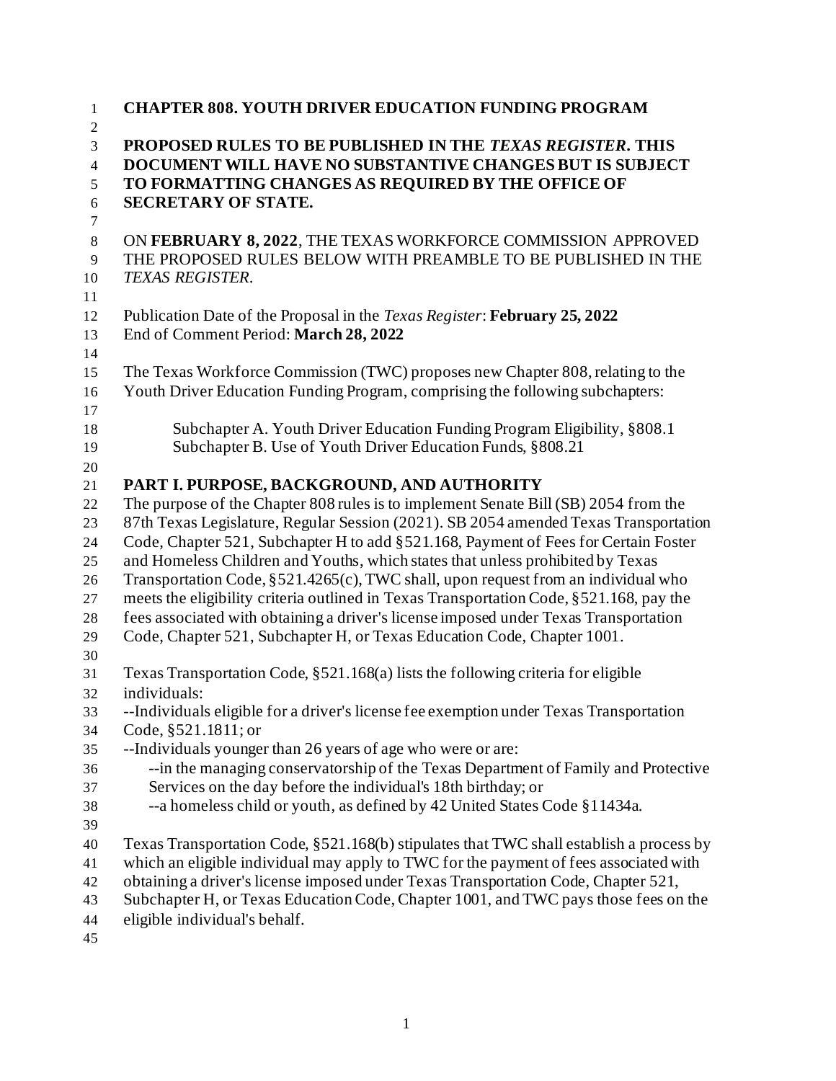| <b>CHAPTER 808. YOUTH DRIVER EDUCATION FUNDING PROGRAM</b><br>$\mathbf{1}$<br>$\mathbf{2}$                                                             |  |
|--------------------------------------------------------------------------------------------------------------------------------------------------------|--|
| PROPOSED RULES TO BE PUBLISHED IN THE TEXAS REGISTER. THIS<br>3                                                                                        |  |
| DOCUMENT WILL HAVE NO SUBSTANTIVE CHANGES BUT IS SUBJECT<br>$\overline{4}$                                                                             |  |
| TO FORMATTING CHANGES AS REQUIRED BY THE OFFICE OF<br>5                                                                                                |  |
| <b>SECRETARY OF STATE.</b><br>$\sqrt{6}$                                                                                                               |  |
| $\overline{7}$                                                                                                                                         |  |
| ON FEBRUARY 8, 2022, THE TEXAS WORKFORCE COMMISSION APPROVED<br>$\,8\,$                                                                                |  |
| THE PROPOSED RULES BELOW WITH PREAMBLE TO BE PUBLISHED IN THE<br>9<br>TEXAS REGISTER.<br>10                                                            |  |
| 11                                                                                                                                                     |  |
| Publication Date of the Proposal in the <i>Texas Register</i> : February 25, 2022<br>12                                                                |  |
| End of Comment Period: March 28, 2022<br>13                                                                                                            |  |
| 14                                                                                                                                                     |  |
| The Texas Workforce Commission (TWC) proposes new Chapter 808, relating to the<br>15                                                                   |  |
| Youth Driver Education Funding Program, comprising the following subchapters:<br>16                                                                    |  |
| 17                                                                                                                                                     |  |
| Subchapter A. Youth Driver Education Funding Program Eligibility, §808.1<br>$18\,$                                                                     |  |
| Subchapter B. Use of Youth Driver Education Funds, §808.21<br>19                                                                                       |  |
| 20                                                                                                                                                     |  |
| PART I. PURPOSE, BACKGROUND, AND AUTHORITY<br>21<br>The purpose of the Chapter 808 rules is to implement Senate Bill (SB) 2054 from the<br>22          |  |
| 87th Texas Legislature, Regular Session (2021). SB 2054 amended Texas Transportation<br>23                                                             |  |
| Code, Chapter 521, Subchapter H to add §521.168, Payment of Fees for Certain Foster<br>24                                                              |  |
| and Homeless Children and Youths, which states that unless prohibited by Texas<br>25                                                                   |  |
| Transportation Code, §521.4265(c), TWC shall, upon request from an individual who<br>26                                                                |  |
| meets the eligibility criteria outlined in Texas Transportation Code, §521.168, pay the<br>27                                                          |  |
| fees associated with obtaining a driver's license imposed under Texas Transportation<br>28                                                             |  |
| Code, Chapter 521, Subchapter H, or Texas Education Code, Chapter 1001.<br>29                                                                          |  |
| 30                                                                                                                                                     |  |
| Texas Transportation Code, §521.168(a) lists the following criteria for eligible<br>31                                                                 |  |
| individuals:<br>32                                                                                                                                     |  |
| --Individuals eligible for a driver's license fee exemption under Texas Transportation<br>33                                                           |  |
| Code, §521.1811; or<br>34                                                                                                                              |  |
| --Individuals younger than 26 years of age who were or are:<br>35                                                                                      |  |
| --in the managing conservatorship of the Texas Department of Family and Protective<br>36                                                               |  |
| Services on the day before the individual's 18th birthday; or<br>37<br>--a homeless child or youth, as defined by 42 United States Code §11434a.<br>38 |  |
| 39                                                                                                                                                     |  |
| Texas Transportation Code, §521.168(b) stipulates that TWC shall establish a process by<br>40                                                          |  |
| which an eligible individual may apply to TWC for the payment of fees associated with<br>41                                                            |  |
| obtaining a driver's license imposed under Texas Transportation Code, Chapter 521,<br>42                                                               |  |
|                                                                                                                                                        |  |
| Subchapter H, or Texas Education Code, Chapter 1001, and TWC pays those fees on the<br>43                                                              |  |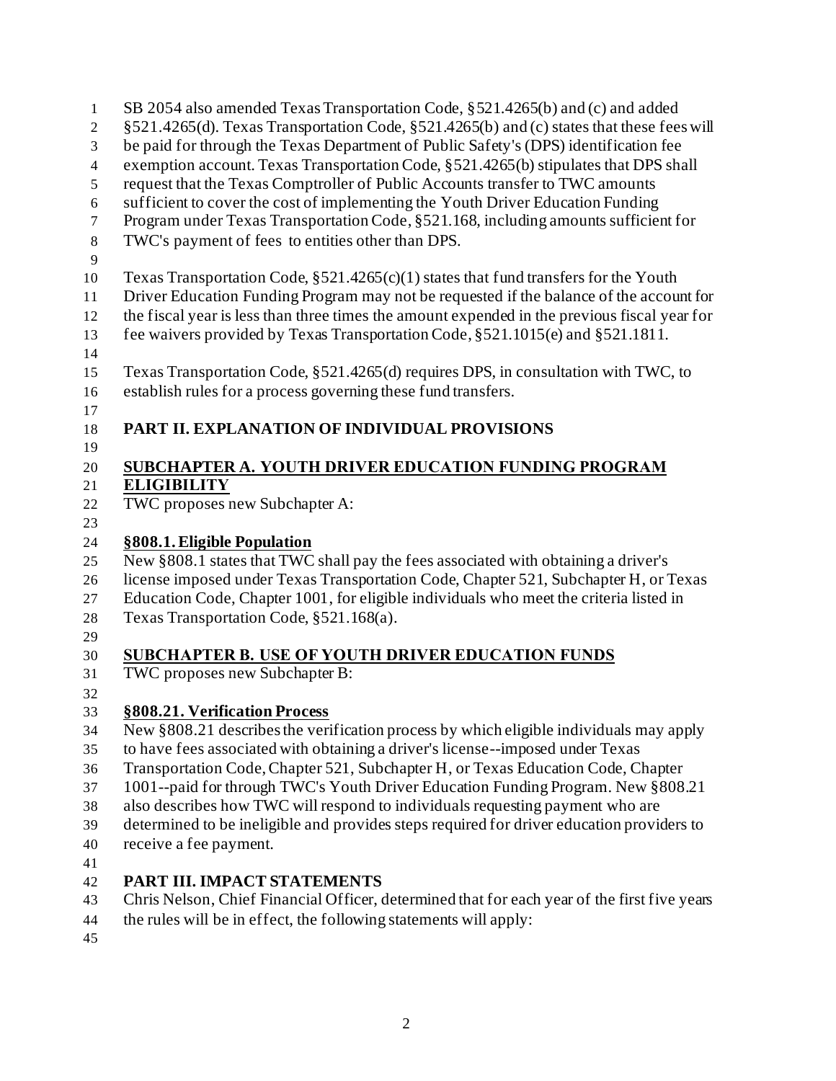| $\mathbf{1}$     | SB 2054 also amended Texas Transportation Code, §521.4265(b) and (c) and added               |
|------------------|----------------------------------------------------------------------------------------------|
| $\mathbf{2}$     | §521.4265(d). Texas Transportation Code, §521.4265(b) and (c) states that these fees will    |
| 3                | be paid for through the Texas Department of Public Safety's (DPS) identification fee         |
| $\overline{4}$   | exemption account. Texas Transportation Code, §521.4265(b) stipulates that DPS shall         |
| 5                | request that the Texas Comptroller of Public Accounts transfer to TWC amounts                |
| 6                | sufficient to cover the cost of implementing the Youth Driver Education Funding              |
| $\boldsymbol{7}$ | Program under Texas Transportation Code, §521.168, including amounts sufficient for          |
| $\,8\,$          | TWC's payment of fees to entities other than DPS.                                            |
| 9                |                                                                                              |
| 10               | Texas Transportation Code, $\S 521.4265(c)(1)$ states that fund transfers for the Youth      |
| 11               | Driver Education Funding Program may not be requested if the balance of the account for      |
| 12               | the fiscal year is less than three times the amount expended in the previous fiscal year for |
| 13               | fee waivers provided by Texas Transportation Code, §521.1015(e) and §521.1811.               |
| 14               |                                                                                              |
| 15               | Texas Transportation Code, §521.4265(d) requires DPS, in consultation with TWC, to           |
| 16               | establish rules for a process governing these fund transfers.                                |
| 17               |                                                                                              |
| 18               | PART II. EXPLANATION OF INDIVIDUAL PROVISIONS                                                |
| 19               |                                                                                              |
| 20               | <b>SUBCHAPTER A. YOUTH DRIVER EDUCATION FUNDING PROGRAM</b>                                  |
| 21               | <b>ELIGIBILITY</b>                                                                           |
| 22               | TWC proposes new Subchapter A:                                                               |
| 23               |                                                                                              |
| 24               | §808.1. Eligible Population                                                                  |
| 25               | New §808.1 states that TWC shall pay the fees associated with obtaining a driver's           |
| 26               | license imposed under Texas Transportation Code, Chapter 521, Subchapter H, or Texas         |
| 27               | Education Code, Chapter 1001, for eligible individuals who meet the criteria listed in       |
| 28               | Texas Transportation Code, §521.168(a).                                                      |
| 29               |                                                                                              |
| 30               | SUBCHAPTER B. USE OF YOUTH DRIVER EDUCATION FUNDS                                            |
| 31               | TWC proposes new Subchapter B:                                                               |
| 32               |                                                                                              |
| 33               | §808.21. Verification Process                                                                |
| 34               | New §808.21 describes the verification process by which eligible individuals may apply       |
| 35               | to have fees associated with obtaining a driver's license--imposed under Texas               |
| 36               | Transportation Code, Chapter 521, Subchapter H, or Texas Education Code, Chapter             |
| 37               | 1001--paid for through TWC's Youth Driver Education Funding Program. New §808.21             |
| 38               | also describes how TWC will respond to individuals requesting payment who are                |
| 39               | determined to be ineligible and provides steps required for driver education providers to    |
| 40               | receive a fee payment.                                                                       |
| 41               |                                                                                              |
| 42               | PART III. IMPACT STATEMENTS                                                                  |
| 43               | Chris Nelson, Chief Financial Officer, determined that for each year of the first five years |
| 44               | the rules will be in effect, the following statements will apply:                            |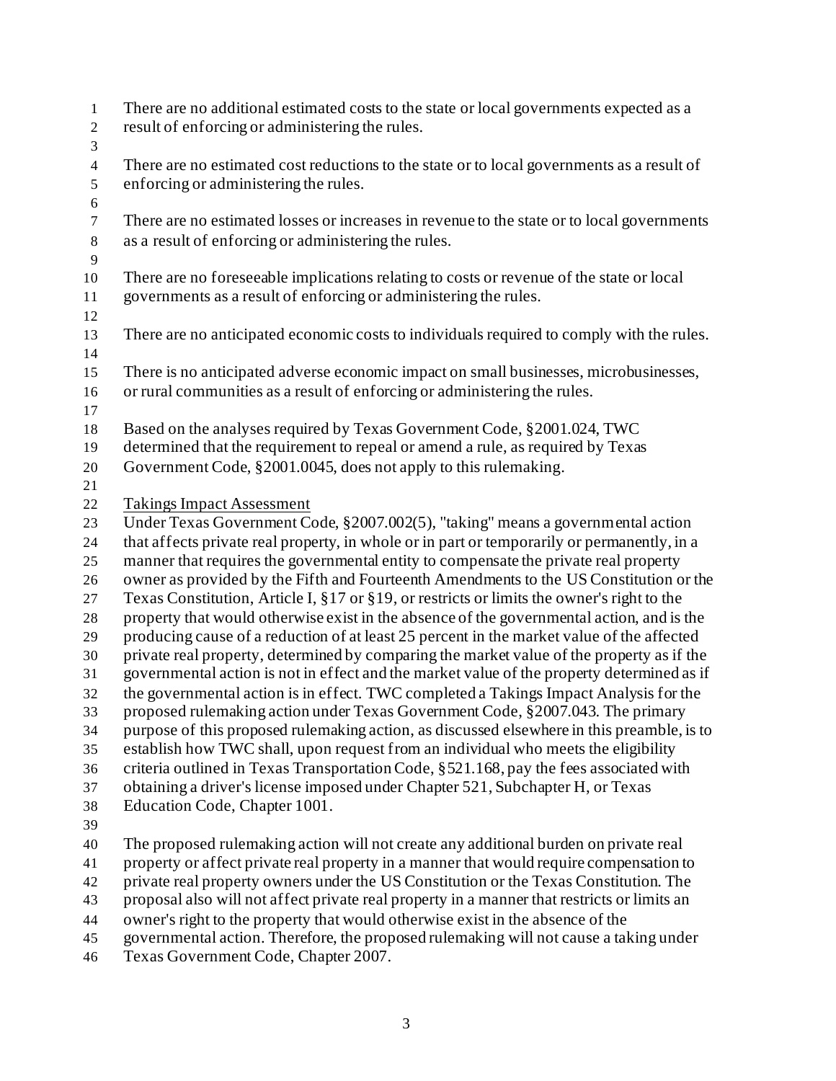| $\,1$<br>$\mathbf{2}$ | There are no additional estimated costs to the state or local governments expected as a<br>result of enforcing or administering the rules.                                      |
|-----------------------|---------------------------------------------------------------------------------------------------------------------------------------------------------------------------------|
| 3                     |                                                                                                                                                                                 |
| $\overline{4}$        | There are no estimated cost reductions to the state or to local governments as a result of                                                                                      |
| $\mathfrak{S}$        | enforcing or administering the rules.                                                                                                                                           |
| 6                     |                                                                                                                                                                                 |
| $\boldsymbol{7}$      | There are no estimated losses or increases in revenue to the state or to local governments                                                                                      |
| $\,8\,$               | as a result of enforcing or administering the rules.                                                                                                                            |
| 9                     |                                                                                                                                                                                 |
| 10                    | There are no foreseeable implications relating to costs or revenue of the state or local                                                                                        |
| 11                    | governments as a result of enforcing or administering the rules.                                                                                                                |
| 12                    |                                                                                                                                                                                 |
| 13                    | There are no anticipated economic costs to individuals required to comply with the rules.                                                                                       |
| 14                    |                                                                                                                                                                                 |
| 15                    | There is no anticipated adverse economic impact on small businesses, microbusinesses,                                                                                           |
| 16                    | or rural communities as a result of enforcing or administering the rules.                                                                                                       |
| 17                    |                                                                                                                                                                                 |
| 18                    | Based on the analyses required by Texas Government Code, §2001.024, TWC                                                                                                         |
| 19                    | determined that the requirement to repeal or amend a rule, as required by Texas                                                                                                 |
| $20\,$                | Government Code, §2001.0045, does not apply to this rulemaking.                                                                                                                 |
| 21                    |                                                                                                                                                                                 |
| 22                    | <b>Takings Impact Assessment</b>                                                                                                                                                |
| 23                    | Under Texas Government Code, §2007.002(5), "taking" means a governmental action                                                                                                 |
| 24                    | that affects private real property, in whole or in part or temporarily or permanently, in a                                                                                     |
| 25                    | manner that requires the governmental entity to compensate the private real property                                                                                            |
| 26                    | owner as provided by the Fifth and Fourteenth Amendments to the US Constitution or the                                                                                          |
| 27                    | Texas Constitution, Article I, §17 or §19, or restricts or limits the owner's right to the                                                                                      |
| $28\,$                | property that would otherwise exist in the absence of the governmental action, and is the                                                                                       |
| 29                    | producing cause of a reduction of at least 25 percent in the market value of the affected                                                                                       |
| 30                    | private real property, determined by comparing the market value of the property as if the                                                                                       |
| 31                    | governmental action is not in effect and the market value of the property determined as if                                                                                      |
| 32                    | the governmental action is in effect. TWC completed a Takings Impact Analysis for the                                                                                           |
| 33                    | proposed rulemaking action under Texas Government Code, §2007.043. The primary                                                                                                  |
| 34                    | purpose of this proposed rulemaking action, as discussed elsewhere in this preamble, is to                                                                                      |
| 35                    | establish how TWC shall, upon request from an individual who meets the eligibility                                                                                              |
| 36                    | criteria outlined in Texas Transportation Code, §521.168, pay the fees associated with                                                                                          |
| 37                    | obtaining a driver's license imposed under Chapter 521, Subchapter H, or Texas                                                                                                  |
| 38                    | Education Code, Chapter 1001.                                                                                                                                                   |
| 39                    |                                                                                                                                                                                 |
| 40                    | The proposed rulemaking action will not create any additional burden on private real<br>property or affect private real property in a manner that would require compensation to |
| 41                    | private real property owners under the US Constitution or the Texas Constitution. The                                                                                           |
| 42<br>43              | proposal also will not affect private real property in a manner that restricts or limits an                                                                                     |
| 44                    | owner's right to the property that would otherwise exist in the absence of the                                                                                                  |
| 45                    | governmental action. Therefore, the proposed rulemaking will not cause a taking under                                                                                           |
|                       |                                                                                                                                                                                 |

Texas Government Code, Chapter 2007.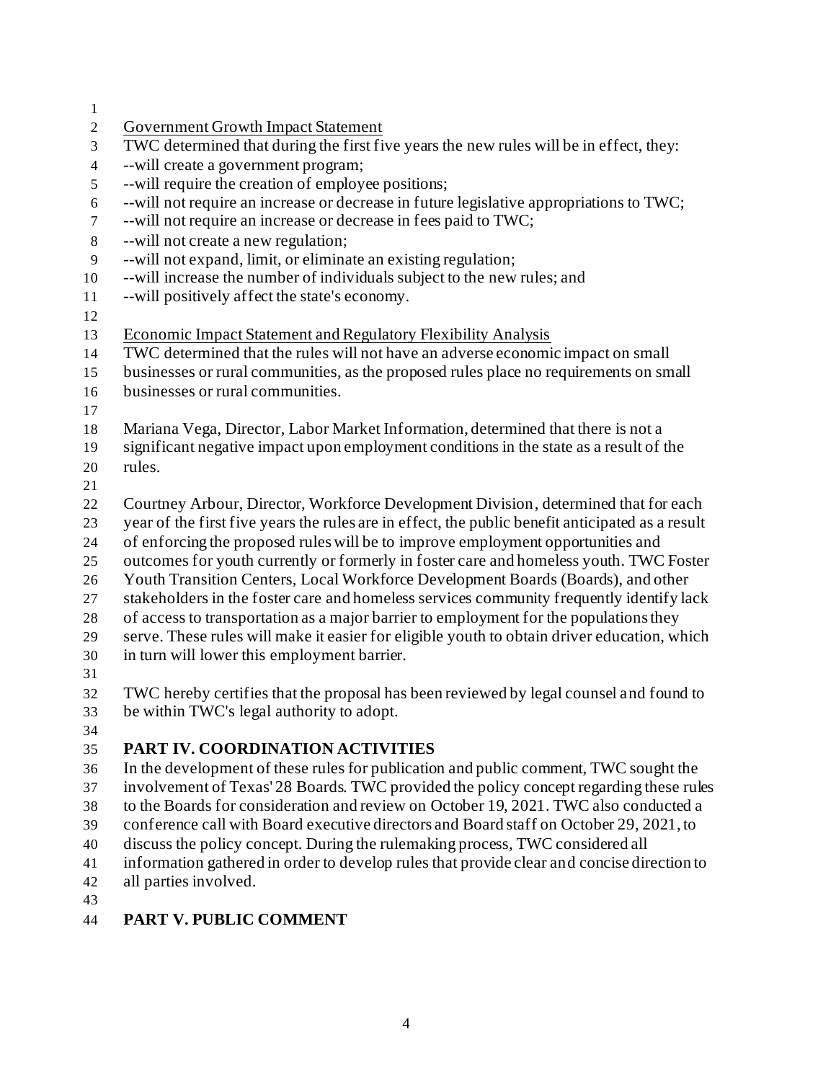| 1                |                                                                                                                                                                              |
|------------------|------------------------------------------------------------------------------------------------------------------------------------------------------------------------------|
| $\mathfrak{2}$   | <b>Government Growth Impact Statement</b>                                                                                                                                    |
| 3                | TWC determined that during the first five years the new rules will be in effect, they:                                                                                       |
| $\overline{4}$   | --will create a government program;                                                                                                                                          |
| 5                | --will require the creation of employee positions;                                                                                                                           |
| $\sqrt{6}$       | --will not require an increase or decrease in future legislative appropriations to TWC;                                                                                      |
| $\boldsymbol{7}$ | --will not require an increase or decrease in fees paid to TWC;                                                                                                              |
| $\,8\,$          | --will not create a new regulation;                                                                                                                                          |
| 9                | --will not expand, limit, or eliminate an existing regulation;                                                                                                               |
| 10               | --will increase the number of individuals subject to the new rules; and                                                                                                      |
| 11               | --will positively affect the state's economy.                                                                                                                                |
| 12               |                                                                                                                                                                              |
| 13               | <b>Economic Impact Statement and Regulatory Flexibility Analysis</b>                                                                                                         |
| 14               | TWC determined that the rules will not have an adverse economic impact on small                                                                                              |
| 15               | businesses or rural communities, as the proposed rules place no requirements on small                                                                                        |
| 16               | businesses or rural communities.                                                                                                                                             |
| 17               |                                                                                                                                                                              |
| 18               | Mariana Vega, Director, Labor Market Information, determined that there is not a                                                                                             |
| 19               | significant negative impact upon employment conditions in the state as a result of the                                                                                       |
| 20               | rules.                                                                                                                                                                       |
| 21               |                                                                                                                                                                              |
| 22               | Courtney Arbour, Director, Workforce Development Division, determined that for each                                                                                          |
| 23               | year of the first five years the rules are in effect, the public benefit anticipated as a result                                                                             |
| 24               | of enforcing the proposed rules will be to improve employment opportunities and                                                                                              |
| 25               | outcomes for youth currently or formerly in foster care and homeless youth. TWC Foster                                                                                       |
| 26<br>27         | Youth Transition Centers, Local Workforce Development Boards (Boards), and other<br>stakeholders in the foster care and homeless services community frequently identify lack |
|                  | of access to transportation as a major barrier to employment for the populations they                                                                                        |
| 28<br>29         | serve. These rules will make it easier for eligible youth to obtain driver education, which                                                                                  |
| 30               | in turn will lower this employment barrier.                                                                                                                                  |
| 31               |                                                                                                                                                                              |
| 32               | TWC hereby certifies that the proposal has been reviewed by legal counsel and found to                                                                                       |
| 33               | be within TWC's legal authority to adopt.                                                                                                                                    |
| 34               |                                                                                                                                                                              |
| 35               | PART IV. COORDINATION ACTIVITIES                                                                                                                                             |
| 36               | In the development of these rules for publication and public comment, TWC sought the                                                                                         |
| 37               | involvement of Texas' 28 Boards. TWC provided the policy concept regarding these rules                                                                                       |
| 38               | to the Boards for consideration and review on October 19, 2021. TWC also conducted a                                                                                         |
| 39               | conference call with Board executive directors and Board staff on October 29, 2021, to                                                                                       |
| 40               | discuss the policy concept. During the rulemaking process, TWC considered all                                                                                                |
| 41               | information gathered in order to develop rules that provide clear and concise direction to                                                                                   |
| 42               | all parties involved.                                                                                                                                                        |
| 43               |                                                                                                                                                                              |
|                  |                                                                                                                                                                              |

## **PART V. PUBLIC COMMENT**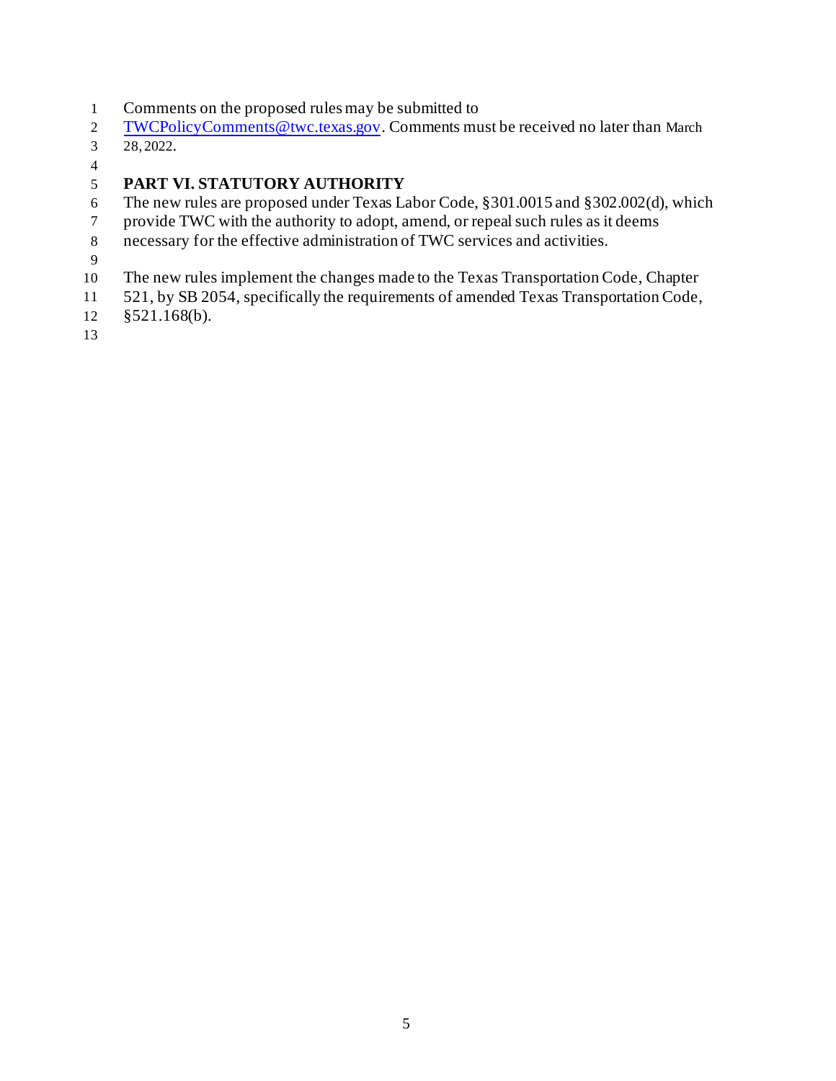- Comments on the proposed rules may be submitted to
- [TWCPolicyComments@twc.texas.gov](mailto:TWCPolicyComments@twc.texas.gov). Comments must be received no later than March
- 28, 2022.
- 

## **PART VI. STATUTORY AUTHORITY**

- The new rules are proposed under Texas Labor Code, §301.0015 and §302.002(d), which
- provide TWC with the authority to adopt, amend, or repeal such rules as it deems
- necessary for the effective administration of TWC services and activities.
- 
- The new rules implement the changes made to the Texas Transportation Code, Chapter
- 521, by SB 2054, specifically the requirements of amended Texas Transportation Code,
- §521.168(b).
-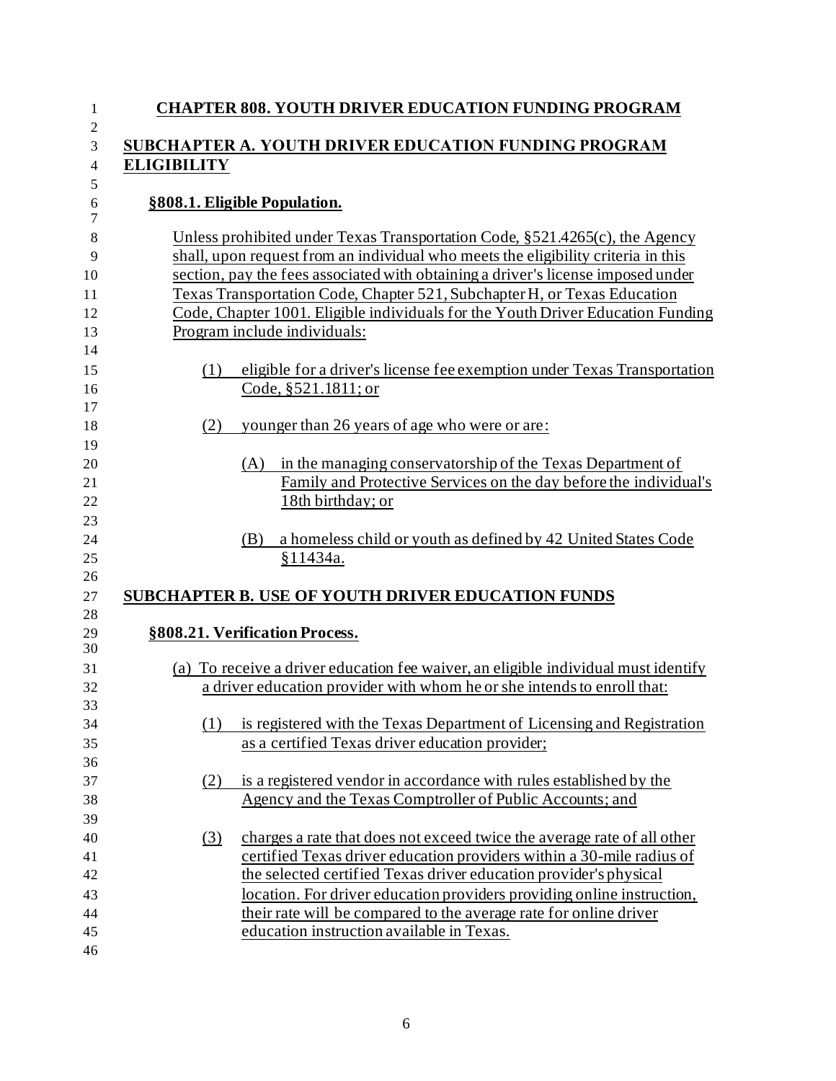| 1                                      | <b>CHAPTER 808. YOUTH DRIVER EDUCATION FUNDING PROGRAM</b>                                                                                                                                                                                                                                                                                                                                                                                          |
|----------------------------------------|-----------------------------------------------------------------------------------------------------------------------------------------------------------------------------------------------------------------------------------------------------------------------------------------------------------------------------------------------------------------------------------------------------------------------------------------------------|
| $\mathfrak{2}$<br>3<br>$\overline{4}$  | SUBCHAPTER A. YOUTH DRIVER EDUCATION FUNDING PROGRAM<br><b>ELIGIBILITY</b>                                                                                                                                                                                                                                                                                                                                                                          |
| 5<br>6<br>$\tau$                       | §808.1. Eligible Population.                                                                                                                                                                                                                                                                                                                                                                                                                        |
| 8<br>9<br>10<br>11<br>12<br>13<br>14   | Unless prohibited under Texas Transportation Code, §521.4265(c), the Agency<br>shall, upon request from an individual who meets the eligibility criteria in this<br>section, pay the fees associated with obtaining a driver's license imposed under<br>Texas Transportation Code, Chapter 521, Subchapter H, or Texas Education<br>Code, Chapter 1001. Eligible individuals for the Youth Driver Education Funding<br>Program include individuals: |
| 15<br>16<br>17                         | eligible for a driver's license fee exemption under Texas Transportation<br>(1)<br>Code, §521.1811; or                                                                                                                                                                                                                                                                                                                                              |
| 18<br>19                               | younger than 26 years of age who were or are:<br>(2)                                                                                                                                                                                                                                                                                                                                                                                                |
| 20<br>21<br>22<br>23                   | in the managing conservatorship of the Texas Department of<br>(A)<br>Family and Protective Services on the day before the individual's<br>18th birthday; or                                                                                                                                                                                                                                                                                         |
| 24<br>25                               | a homeless child or youth as defined by 42 United States Code<br>(B)<br>§11434a.                                                                                                                                                                                                                                                                                                                                                                    |
| 26<br>27                               | <b>SUBCHAPTER B. USE OF YOUTH DRIVER EDUCATION FUNDS</b>                                                                                                                                                                                                                                                                                                                                                                                            |
| 28<br>29<br>30                         | §808.21. Verification Process.                                                                                                                                                                                                                                                                                                                                                                                                                      |
| 31<br>32                               | (a) To receive a driver education fee waiver, an eligible individual must identify<br>a driver education provider with whom he or she intends to enroll that:                                                                                                                                                                                                                                                                                       |
| 33<br>34<br>35<br>36                   | is registered with the Texas Department of Licensing and Registration<br>(1)<br>as a certified Texas driver education provider;                                                                                                                                                                                                                                                                                                                     |
| 37<br>38<br>39                         | is a registered vendor in accordance with rules established by the<br>(2)<br>Agency and the Texas Comptroller of Public Accounts; and                                                                                                                                                                                                                                                                                                               |
| 40<br>41<br>42<br>43<br>44<br>45<br>46 | charges a rate that does not exceed twice the average rate of all other<br>(3)<br>certified Texas driver education providers within a 30-mile radius of<br>the selected certified Texas driver education provider's physical<br>location. For driver education providers providing online instruction,<br>their rate will be compared to the average rate for online driver<br>education instruction available in Texas.                            |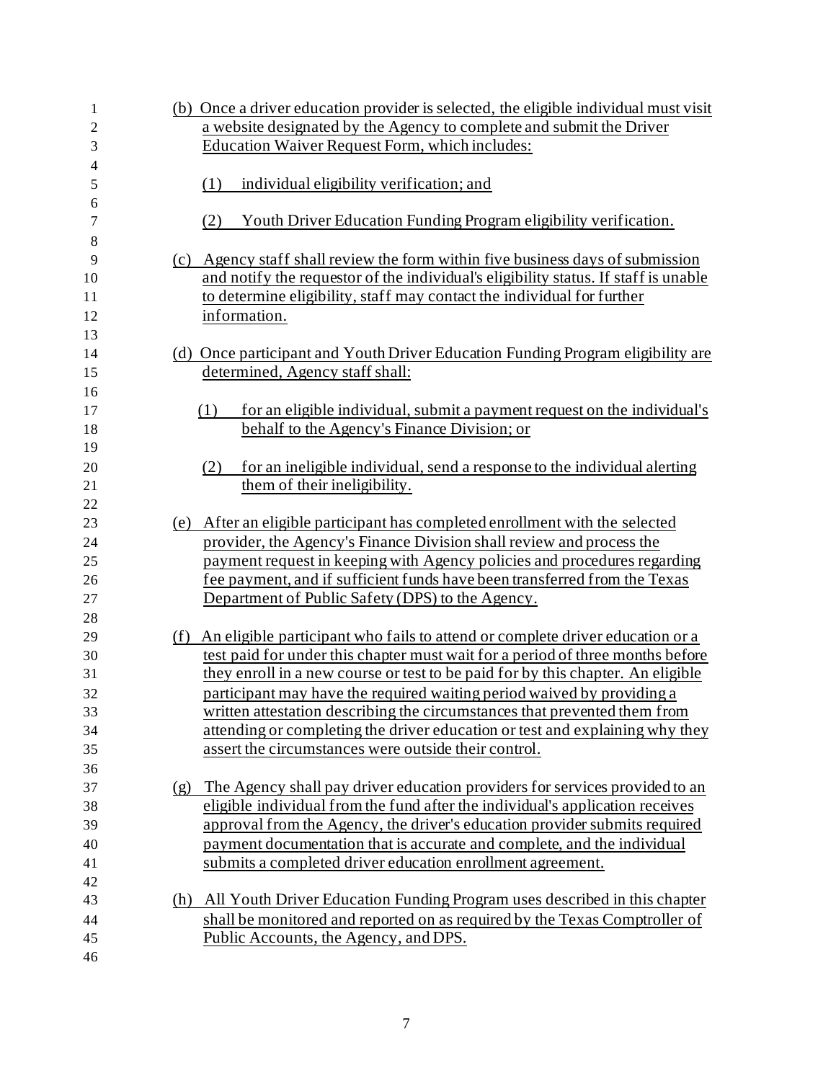| 1              |     | (b) Once a driver education provider is selected, the eligible individual must visit |
|----------------|-----|--------------------------------------------------------------------------------------|
| 2              |     | a website designated by the Agency to complete and submit the Driver                 |
| 3              |     | Education Waiver Request Form, which includes:                                       |
| $\overline{4}$ |     |                                                                                      |
| 5              |     | individual eligibility verification; and<br>(1)                                      |
| 6<br>7         |     | Youth Driver Education Funding Program eligibility verification.<br>(2)              |
| 8              |     |                                                                                      |
| 9              | (c) | Agency staff shall review the form within five business days of submission           |
| 10             |     | and notify the requestor of the individual's eligibility status. If staff is unable  |
| 11             |     | to determine eligibility, staff may contact the individual for further               |
| 12             |     | information.                                                                         |
| 13             |     |                                                                                      |
| 14             |     | (d) Once participant and Youth Driver Education Funding Program eligibility are      |
| 15             |     | determined, Agency staff shall:                                                      |
| 16             |     |                                                                                      |
| 17             |     | for an eligible individual, submit a payment request on the individual's<br>(1)      |
| 18             |     | behalf to the Agency's Finance Division; or                                          |
| 19             |     |                                                                                      |
| 20             |     | for an ineligible individual, send a response to the individual alerting<br>(2)      |
| 21             |     | them of their ineligibility.                                                         |
| 22             |     |                                                                                      |
| 23             | (e) | After an eligible participant has completed enrollment with the selected             |
| 24             |     | provider, the Agency's Finance Division shall review and process the                 |
| 25             |     | payment request in keeping with Agency policies and procedures regarding             |
| 26             |     | fee payment, and if sufficient funds have been transferred from the Texas            |
| 27             |     | Department of Public Safety (DPS) to the Agency.                                     |
| 28             |     |                                                                                      |
| 29             | (f) | An eligible participant who fails to attend or complete driver education or a        |
| 30             |     | test paid for under this chapter must wait for a period of three months before       |
| 31             |     | they enroll in a new course or test to be paid for by this chapter. An eligible      |
| 32             |     | participant may have the required waiting period waived by providing a               |
| 33             |     | written attestation describing the circumstances that prevented them from            |
| 34             |     | attending or completing the driver education or test and explaining why they         |
| 35             |     | assert the circumstances were outside their control.                                 |
| 36             |     |                                                                                      |
| 37             | (g) | The Agency shall pay driver education providers for services provided to an          |
| 38             |     | eligible individual from the fund after the individual's application receives        |
| 39             |     | approval from the Agency, the driver's education provider submits required           |
| 40             |     | payment documentation that is accurate and complete, and the individual              |
| 41             |     | submits a completed driver education enrollment agreement.                           |
| 42             |     |                                                                                      |
| 43             | (h) | All Youth Driver Education Funding Program uses described in this chapter            |
| 44             |     | shall be monitored and reported on as required by the Texas Comptroller of           |
| 45             |     | Public Accounts, the Agency, and DPS.                                                |
| 46             |     |                                                                                      |